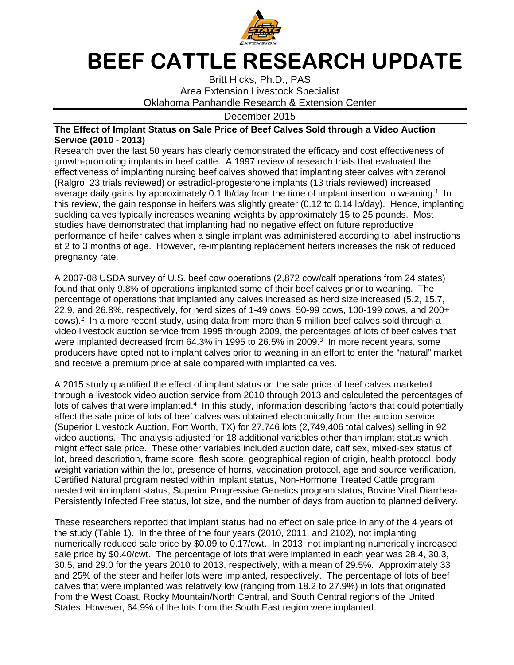

## **BEEF CATTLE RESEARCH UPDATE**

Britt Hicks, Ph.D., PAS Area Extension Livestock Specialist Oklahoma Panhandle Research & Extension Center

December 2015

## **The Effect of Implant Status on Sale Price of Beef Calves Sold through a Video Auction Service (2010 - 2013)**

Research over the last 50 years has clearly demonstrated the efficacy and cost effectiveness of growth-promoting implants in beef cattle. A 1997 review of research trials that evaluated the effectiveness of implanting nursing beef calves showed that implanting steer calves with zeranol (Ralgro, 23 trials reviewed) or estradiol-progesterone implants (13 trials reviewed) increased average daily gains by approximately 0.1 lb/day from the time of implant insertion to weaning.<sup>1</sup> In this review, the gain response in heifers was slightly greater (0.12 to 0.14 lb/day). Hence, implanting suckling calves typically increases weaning weights by approximately 15 to 25 pounds. Most studies have demonstrated that implanting had no negative effect on future reproductive performance of heifer calves when a single implant was administered according to label instructions at 2 to 3 months of age. However, re-implanting replacement heifers increases the risk of reduced pregnancy rate.

A 2007-08 USDA survey of U.S. beef cow operations (2,872 cow/calf operations from 24 states) found that only 9.8% of operations implanted some of their beef calves prior to weaning. The percentage of operations that implanted any calves increased as herd size increased (5.2, 15.7, 22.9, and 26.8%, respectively, for herd sizes of 1-49 cows, 50-99 cows, 100-199 cows, and 200+  $cows$ ).<sup>2</sup> In a more recent study, using data from more than 5 million beef calves sold through a video livestock auction service from 1995 through 2009, the percentages of lots of beef calves that were implanted decreased from 64.3% in 1995 to 26.5% in 2009.<sup>3</sup> In more recent years, some producers have opted not to implant calves prior to weaning in an effort to enter the "natural" market and receive a premium price at sale compared with implanted calves.

A 2015 study quantified the effect of implant status on the sale price of beef calves marketed through a livestock video auction service from 2010 through 2013 and calculated the percentages of lots of calves that were implanted.<sup>4</sup> In this study, information describing factors that could potentially affect the sale price of lots of beef calves was obtained electronically from the auction service (Superior Livestock Auction, Fort Worth, TX) for 27,746 lots (2,749,406 total calves) selling in 92 video auctions. The analysis adjusted for 18 additional variables other than implant status which might effect sale price. These other variables included auction date, calf sex, mixed-sex status of lot, breed description, frame score, flesh score, geographical region of origin, health protocol, body weight variation within the lot, presence of horns, vaccination protocol, age and source verification, Certified Natural program nested within implant status, Non-Hormone Treated Cattle program nested within implant status, Superior Progressive Genetics program status, Bovine Viral Diarrhea-Persistently Infected Free status, lot size, and the number of days from auction to planned delivery.

These researchers reported that implant status had no effect on sale price in any of the 4 years of the study (Table 1). In the three of the four years (2010, 2011, and 2102), not implanting numerically reduced sale price by \$0.09 to 0.17/cwt. In 2013, not implanting numerically increased sale price by \$0.40/cwt. The percentage of lots that were implanted in each year was 28.4, 30.3, 30.5, and 29.0 for the years 2010 to 2013, respectively, with a mean of 29.5%. Approximately 33 and 25% of the steer and heifer lots were implanted, respectively. The percentage of lots of beef calves that were implanted was relatively low (ranging from 18.2 to 27.9%) in lots that originated from the West Coast, Rocky Mountain/North Central, and South Central regions of the United States. However, 64.9% of the lots from the South East region were implanted.